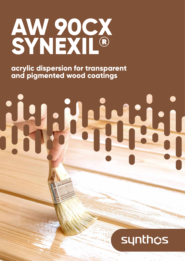## **AW 90CX SYNEXIL®**

**acrylic dispersion for transparent and pigmented wood coatings**

# 

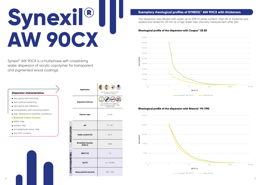## Exemplary rheological profiles of SYNEXIL® AW 90CX with thickeners<br>The dispersion was diluted with water up to 20% of solids content, then 2% of thickeners<br>added and stirred for 20 min at a high sheer rate. Viscosity measu **AW 90CX**

Synexil® AW 90CX is a multiphase self-crosslinking water dispersion of acrylic copolymer for transparent and pigmented wood coatings.

- very good anti-blocking
- fast surface hardening
- very good wet adhesion
- compatibility with colouring system
- $\bullet$  high resistance to weather conditions
- **Biobased Carbon Content**
- APEO-free
- solvent-free
- formaldehyde donor-free
- low VOC content

#### **Dispersion characteristics:**

|                         | <b>Application</b>                     | wood stain, varnish stain,<br>varnishes, paints                                 |
|-------------------------|----------------------------------------|---------------------------------------------------------------------------------|
|                         | <b>Dispersion features</b>             | so<br>bio-based raw materials,<br>self-crosslinking, APEO-free,<br>solvent-free |
|                         | <b>Polymer type</b>                    | acrylic                                                                         |
|                         | рH                                     | $7.7 \div 8.7$                                                                  |
| SPECIFICATION           | Solids content [%]                     | 45±1                                                                            |
|                         | <b>Brookfield viscosity</b><br>ImPa•s] | 500                                                                             |
|                         | <b>MFFT [°C]</b>                       | $<$ 5                                                                           |
| <b>OTHER PARAMETERS</b> | Tg [°C]                                | ca. - 15/100                                                                    |
|                         | Mean particle size [nm]                | $100 \div 130$                                                                  |

The dispersion was diluted with water up to 20% of solids content, then 2% of thickener was added and stirred for 20 min at a high sheer rate. Viscosity measurement after 24h.

#### **Rheological profile of the dispersion with Coapur™ XS 83**



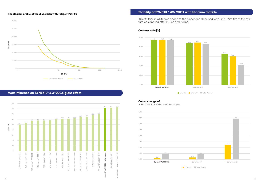#### **Rheological profile of the dispersion with Tafigel® PUR 60**



#### **Wax influence on SYNEXIL® AW 90CX gloss effect**

#### **Stability of SYNEXIL® AW 90CX with titanium dioxide**

10% of titanium white was added to the binder and dispersed for 20 min. Wet film of the mixture was applied after 1h, 24h and 7 days.

#### **Contrast ratio [%]**



#### **Colour change ΔE**



A film after 1h is the reference sample.

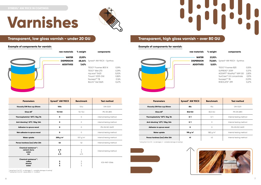| raw materials     | % weight | components                             |       |
|-------------------|----------|----------------------------------------|-------|
| <b>WATER</b>      | 23,93%   |                                        |       |
| <b>DISPERSION</b> | 68.64%   | Synexil <sup>®</sup> AW 90CX - Synthos |       |
| <b>ADDITIVES</b>  | 7,43%    |                                        |       |
|                   |          | TEGO® Foamex 805 N                     | 0,59% |
|                   |          | TEGO® Wet 270                          | 0,39% |
|                   |          | mju:wax® 5420                          | 5,00% |
|                   |          | Tinuvin <sup>®</sup> 5333-DW           | 0,82% |
|                   |          | Nuosept™ 78                            | 0,16% |
|                   |          | Borchi® Gel 0625                       | 0.47% |
|                   |          |                                        |       |



| aterials       | % weight | components                               |       |
|----------------|----------|------------------------------------------|-------|
| <b>WATER</b>   | 21,92%   |                                          |       |
| ERSION         |          | <b>73.06%</b> Synexil® AW 90CX - Synthos |       |
| <b>DITIVES</b> | 5,02%    |                                          |       |
|                |          | TEGO® Foamex 825                         | 0,55% |
|                |          | SUPREAD <sup>®</sup> 2059                | 0,37% |
|                |          | ADDAPT® WaxMul™ WM 120                   | 2.83% |
|                |          | SunCare <sup>™</sup> UV concentrate      | 0,91% |
|                |          | Nuosept™ 78                              | 0,09% |
|                |          | RHEOLATE <sup>®</sup> 299                | 0.27% |
|                |          |                                          |       |



## **Varnishes**



#### **Example of components for varnish:**



#### **Transparent, low gloss varnish - under 20 GU**

| <b>Parameters</b>                                              | Synexil <sup>®</sup> AW 90CX | <b>Benchmark</b> | <b>Test method</b>      |
|----------------------------------------------------------------|------------------------------|------------------|-------------------------|
| Viscosity DIN flow cup Ø4mm                                    | 100s                         | 104s             | <b>DIN 53211</b>        |
| Gloss 60°                                                      | 17,3 GU                      | 15,7 GU          | <b>PN-EN 2813</b>       |
| Thermoplasticity* 50°C/5kg/5h                                  | $\mathbf{o}$                 | $\circ$          | internal testing method |
| Anti-blocking* 23°C/10kg/24h                                   | $\mathbf{o}$                 | $\circ$          | internal testing method |
| <b>Adhesion to spruce wood</b>                                 | $\mathbf{o}$                 | $\circ$          | <b>PN-EN ISO 2409</b>   |
| Wet adhesion to spruce wood                                    | O                            | $\circ$          | internal testing method |
| <b>Water uptake</b>                                            | 208 g/m <sup>2</sup>         | 557 $g/m^2$      | Internal testing method |
| Persoz hardness [osc] after 24h                                | 46                           | 52               | Internal testing method |
| <b>Chemical resistance**:</b><br>cement slurry<br>water<br>ink | 4/5<br>5<br>4/5              | 3<br>5<br>4/5    | Internal testing method |
| <b>Chemical resistance**:</b><br>coffee<br>alcohol<br>water    | 5<br>5<br>5                  | 5<br>5<br>5      | <b>IOS-MAT-0066</b>     |

\* rating from 0 to 5 (0 - no damages, 5 – complete damage of coating) \*\* rating from 0 to 5 (0 - severe effect, 5 – no effect)

#### **Example of components for varnish:**

## **Transparent, high gloss varnish - over 80 GU**

| <b>Parameters</b>               | Synexil <sup>®</sup> AW 90CX | <b>Benchmark</b>     | <b>Test method</b>      |
|---------------------------------|------------------------------|----------------------|-------------------------|
| Viscosity DIN flow cup Ø4mm     | 85s                          | 95s                  | <b>DIN 53211</b>        |
| Gloss 60°                       | 83,8 GU                      | 83,3 GU              | <b>PN-FN 2813</b>       |
| Thermoplasticity* 50°C/5kg/5h   | 0/1                          | 0/1                  | Internal testing method |
| Anti-blocking* 23°C/10kg/24h    | 0/1                          | $\Omega$             | Internal testing method |
| <b>Adhesion to spruce wood</b>  | $\mathbf o$                  | 0                    | <b>PN-EN ISO 2409</b>   |
| <b>Water uptake</b>             | 195 g/m <sup>2</sup>         | 582 g/m <sup>2</sup> | Internal testing method |
| Persoz hardness [osc] after 24h | 41                           | 43                   | Internal testing method |

\* rating from 0 to 5 (0 - no damages, 5 – complete damage of coating)

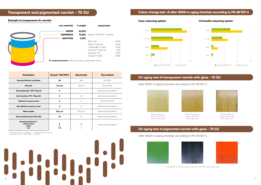



| 24,20% |                              |       |
|--------|------------------------------|-------|
| 70.28% | Synexil® AW 90CX - Synthos   |       |
| 5,52%  |                              |       |
|        | <b>RYK®-024</b>              | 0.60% |
|        | TEGO® Glide 410              | 0.40% |
|        | ULTRALUBE <sup>®</sup> D-840 | 3.01% |
|        | SunCare <sup>™</sup> TopCoat | 1.01% |
|        | Nuosept™ 78                  | 0,10% |
|        | Coapur <sup>™</sup> XS 83    | 0.40% |
|        |                              |       |

**5% of pigmented paste** need to be added to pigmented varnish

#### **Example of components for varnish:**

#### **Transparent and pigmented varnish - 70 GU**

\* rating from 0 to 5 (0 - no damages, 5 – complete damage of coating) \*\* rating from 0 to 5 (0 - severe effect, 5 - no effect)

| <b>Parameters</b>                                              | Synexil <sup>®</sup> AW 90CX | <b>Benchmark</b>     | <b>Test method</b>      |
|----------------------------------------------------------------|------------------------------|----------------------|-------------------------|
| Viscosity DIN flow cup Ø4mm                                    | 75s                          | 85s                  | <b>DIN 53211</b>        |
| Gloss 60°                                                      | 70,4 GU                      | 65,9 GU              | <b>PN-EN 2813</b>       |
| Thermoplasticity* 50°C/5kg/5h                                  | $\mathbf{o}$                 |                      | Internal testing method |
| Anti-blocking* 23°C/10kg/24h                                   | 0                            | O/1                  | Internal testing method |
| Adhesion to spruce wood                                        | $\mathbf{o}$                 | $\Omega$             | <b>PN-EN ISO 2409</b>   |
| Wet adhesion to spruce wood                                    | $\mathbf{o}$                 | $\circ$              | Internal testing method |
| <b>Water uptake</b>                                            | 234 g/m <sup>2</sup>         | 529 g/m <sup>2</sup> | Internal testing method |
| Persoz hardness [osc] after 24h                                | 35                           | 36                   | Internal testing method |
| <b>Chemical resistance**:</b><br>cement slurry<br>water<br>ink | 5<br>5<br>4/5                | 3/4<br>5<br>5        | Internal testing method |

#### **Colour change test** ∆**E after 1000h in aging chamber according to PN-EN 927-6**



#### **Chromaflo colouring system**





#### **UV aging test of transparent varnish with gloss - 70 GU**

#### after 1000h in aging chamber according to PN-EN 927-6





Varnish based on Synexil® AW 90CX before aging test

#### Varnish based on Synexil® AW 90CX after aging test

 Varnish based on benchmark binder after aging test





#### **UV aging test of pigmented varnish with gloss - 70 GU**

after 1000h in aging chamber according to PN-EN 927-6





Pigmented varnishes based on Synexil® AW 90CX after aging test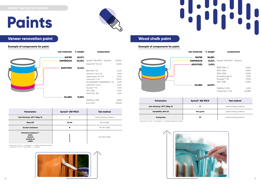



| erials       | % weight | components                             |        |
|--------------|----------|----------------------------------------|--------|
| 'ATER        | 38,88%   |                                        |        |
| SION         | 13,03%   | Synexil <sup>®</sup> AW 90CX - Synthos |        |
| <b>TIVES</b> | 3,00%    |                                        |        |
|              |          | <b>BENTONE® LT</b>                     | 0,60%  |
|              |          | ADD-6245                               | 0,50%  |
|              |          | ADD-2560                               | 0,60%  |
|              |          | Propylene glycol                       | 1,00%  |
|              |          | Nuosept™ 78                            | 0,10%  |
|              |          | ADD-3581                               | 0,20%  |
| <b>.LERS</b> | 45,09%   |                                        |        |
|              |          | FINNTALC M10                           | 5,01%  |
|              |          | Omyacarb <sup>®</sup> 2 VA             | 40,08% |
|              |          |                                        |        |



| <b>WATER</b>      | 20,01% |                                        |        |
|-------------------|--------|----------------------------------------|--------|
| <b>DISPERSION</b> | 50,03% | Synexil <sup>®</sup> AW 90CX - Synthos | 40,02% |
|                   |        | ESACOTE <sup>®</sup> PU 147            | 10,01% |
| <b>ADDITIVES</b>  | 16,46% |                                        |        |
|                   |        | <b>BENTONE® EW</b>                     | 0,40%  |
|                   |        | Genamin® Gluco 50                      | 0,05%  |
|                   |        | Dispersogen <sup>®</sup> PLF 100       | 0,50%  |
|                   |        | Omyacarb <sup>®</sup> 5 VA             | 10,00% |
|                   |        | <b>DECOSPHAERA® TRANSPARENT F-VA</b>   | 4,20%  |
|                   |        | SURFYNOL <sup>®</sup> AD 01            | 0,30%  |
|                   |        | Nuosept™ 78                            | 0,10%  |
|                   |        | ADD-2560                               | 0,40%  |
|                   |        | RHEOLATE <sup>®</sup> 185              | 0,51%  |
| <b>FILLERS</b>    | 13,50% |                                        |        |
|                   |        | FINNTALC M10                           | 3,50%  |
|                   |        | $ECO-PhV^{\circ}$                      | 10,00% |

## **Paints**

#### **Veneer renovation paint Wood chalk paint**

#### **Example of components for paint:**

| <b>Parameters</b>                                                          | Synexil <sup>®</sup> AW 90CX | <b>Test method</b>      |
|----------------------------------------------------------------------------|------------------------------|-------------------------|
| Anti-blocking* 40°C/20kg/1h                                                | 0                            | Internal testing method |
| Gloss 60°                                                                  | <b>2,9 GU</b>                | <b>PN-EN 2813</b>       |
| <b>Scratch resistance</b>                                                  | в                            | <b>PN-ISO 15184</b>     |
| <b>Chemical resistance**:</b><br>water<br>alcohol<br>cooking oil<br>coffee | 5<br>5                       | IOS-MAT-0066            |

\* rating from 0 to 5 (0 - no damages, 5 – complete damage of coating) \*\* rating from 0 to 5 (0 - severe effect, 5 – no effect)



#### **Example of components for paint:**

| <b>Parameters</b>           | Synexil <sup>®</sup> AW 90CX | <b>Test method</b>      |
|-----------------------------|------------------------------|-------------------------|
| Anti-blocking* 40°C/20kg/1h | 0                            | Internal testing method |
| <b>Sandability after 2h</b> | Very good                    | Internal testing method |
| <b>Drying time</b>          | 30                           | Internal testing method |

\* rating from 0 to 5 (0 - no damages, 5 – complete damage of coating)





##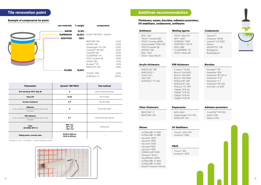



#### **Tile renovation paint**

#### **Example of components for paint:**

| <b>Parameters</b>                                                                       | Synexil <sup>®</sup> AW 90CX                              | <b>Test method</b>      |
|-----------------------------------------------------------------------------------------|-----------------------------------------------------------|-------------------------|
| Anti-blocking* 50°C/5kg/5h                                                              | $\mathbf o$                                               | Internal testing method |
| Gloss 60°                                                                               | <b>13 GU</b>                                              | <b>PN-EN 2813</b>       |
| <b>Scratch resistance</b>                                                               | H/F                                                       | PN-ISO 15184            |
| <b>Adhesion</b><br>cross-cut test to smooth and textural ceramic tile,<br>and glass     | $\mathbf o$                                               | <b>PN-EN ISO 2409</b>   |
| <b>Wet adhesion</b><br>cross-cut test to smooth and textural ceramic tile,<br>and glass | O/1                                                       | Internal testing method |
| Haze<br>$\triangle$ GU=(RIQ-20°) ≤ 5                                                    | $RIQ = 0.4$<br>$20^{\circ} = 2.9$<br>$\triangle$ GU = 2,5 | ASTM E430               |
| Hiding power/contrast ratio                                                             | 92,09 at 200 µm<br>94,37 at 270 µm                        |                         |

- $\cdot$  Texanol<sup>TM</sup>
- Dowanol® DPnB
- Loxanol® CA 5330
- Esterol
- ADDAPTOL® DB
- Butylglycol
- Butyldiglycol

\* rating from 0 to 5 (0 - no damages, 5 – complete damage of coating)

- $\cdot$  Nuosept<sup>TM</sup> 78
- Preventol<sup>®</sup> BZX
- Preventol® BIT 20-D
- Preventol® D 12
- Preventol® D 7
- Preventol® MP 330
- Acticide® LA 1209

#### **Thickeners, waxes, biocides, adhesion promoters, UV stabilizers, coalescents, antifoams**

#### **Additives recommendation**

#### **Coalescents:**

| <b>Antifoams:</b>                                                                                                                                                                                      | <b>Wetting agents:</b>                                                                                                                                                                                                                                                            |
|--------------------------------------------------------------------------------------------------------------------------------------------------------------------------------------------------------|-----------------------------------------------------------------------------------------------------------------------------------------------------------------------------------------------------------------------------------------------------------------------------------|
| $\cdot$ BYK®-024<br>• TEGO <sup>®</sup> Foamex 825<br>• TEGO <sup>®</sup> Foamex 805N<br>• Nopcomaster <sup>™</sup> ENA-505<br>• TEGO®Foamex 28<br>• AGITAN® 158<br>• BYK®-1740<br>• TEGO® Airex 902 W | • TEGO <sup>®</sup> Wet 270<br>• BYK®-3455<br>· SUPREAD® 2059<br>· SURFYNOL <sup>®</sup> AD 01<br>• ADD-3581<br>• CLIQSPERSE® 127<br>• TEGO® Glide 410                                                                                                                            |
| <b>Acrylic thickeners:</b>                                                                                                                                                                             | <b>PUR thickeners:</b>                                                                                                                                                                                                                                                            |
| • RHEOLATE® 185<br>· RHEOLATE® 1<br>• Thixol® 53 L<br>$\cdot$ Hisol 700<br>• ACRYSOL™ TT-615                                                                                                           | • Coapur™ XS 83<br>· Borchi <sup>®</sup> Gel 0620<br>· Borchi <sup>®</sup> Gel 0621<br>• Borchi <sup>®</sup> Gel 0625<br>• RHEOLATE® 299<br>• RHEOLATE® 255<br>• Rheovis <sup>®</sup> PU 1190<br>· Tafigel® PUR 40<br>· Tafigel® PUR 50<br>· Tafigel® PUR 60<br>· Tafigel® PUR 48 |
| <b>Other thickeners:</b>                                                                                                                                                                               | <b>Dispersants:</b>                                                                                                                                                                                                                                                               |
| • BENTONE® LT<br>· BENTONE <sup>®</sup> EW                                                                                                                                                             | · ADD-6245<br>· Dispersogen® PLF 100<br>$\cdot$ EDAPLAN® 494                                                                                                                                                                                                                      |
| <b>Waxes:</b>                                                                                                                                                                                          | UV Stabilizers:                                                                                                                                                                                                                                                                   |
| ULTRALUBE <sup>®</sup> D-838<br>ULTRALUBE <sup>®</sup> D-889<br>mju:wax <sup>®</sup> 2505<br>mju:wax <sup>®</sup> 2594<br>mju:wax <sup>®</sup> 5420                                                    | Tinuvin <sup>®</sup> 400-DW<br>Hostavin <sup>®</sup> 3326                                                                                                                                                                                                                         |
| mju:wax <sup>®</sup> 7902<br>mju:wax <sup>®</sup> 9524                                                                                                                                                 | <b>HALS:</b><br>Tinuvin <sup>®</sup> 292                                                                                                                                                                                                                                          |
| CERAFLOUR <sup>®</sup> 1000<br>Ceridust <sup>®</sup> 9615 A                                                                                                                                            | Hostavin <sup>®</sup> 3070                                                                                                                                                                                                                                                        |
| AquaMatte® 26HD<br>ULTRALUBE® D-840<br>ULTRALUBE <sup>®</sup> D-860                                                                                                                                    |                                                                                                                                                                                                                                                                                   |



#### **Biocides:**

#### **Adhesion promoters:**

- CoatOSilTM MP 200
- Silanil® 258
- Silane A 010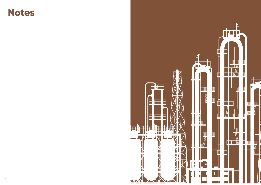

### **Notes**